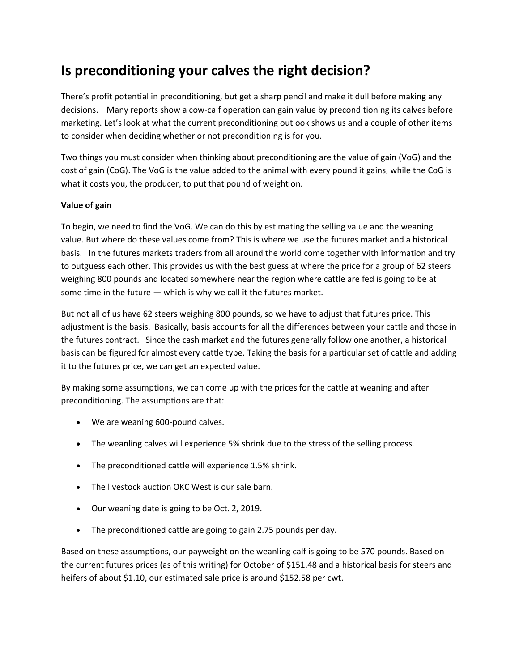## **Is preconditioning your calves the right decision?**

There's profit potential in preconditioning, but get a sharp pencil and make it dull before making any decisions. Many reports show a cow-calf operation can gain value by preconditioning its calves before marketing. Let's look at what the current preconditioning outlook shows us and a couple of other items to consider when deciding whether or not preconditioning is for you.

Two things you must consider when thinking about preconditioning are the value of gain (VoG) and the cost of gain (CoG). The VoG is the value added to the animal with every pound it gains, while the CoG is what it costs you, the producer, to put that pound of weight on.

## **Value of gain**

To begin, we need to find the VoG. We can do this by estimating the selling value and the weaning value. But where do these values come from? This is where we use the futures market and a historical basis. In the futures markets traders from all around the world come together with information and try to outguess each other. This provides us with the best guess at where the price for a group of 62 steers weighing 800 pounds and located somewhere near the region where cattle are fed is going to be at some time in the future — which is why we call it the futures market.

But not all of us have 62 steers weighing 800 pounds, so we have to adjust that futures price. This adjustment is the basis. Basically, basis accounts for all the differences between your cattle and those in the futures contract. Since the cash market and the futures generally follow one another, a historical basis can be figured for almost every cattle type. Taking the basis for a particular set of cattle and adding it to the futures price, we can get an expected value.

By making some assumptions, we can come up with the prices for the cattle at weaning and after preconditioning. The assumptions are that:

- We are weaning 600-pound calves.
- The weanling calves will experience 5% shrink due to the stress of the selling process.
- The preconditioned cattle will experience 1.5% shrink.
- The livestock auction OKC West is our sale barn.
- Our weaning date is going to be Oct. 2, 2019.
- The preconditioned cattle are going to gain 2.75 pounds per day.

Based on these assumptions, our payweight on the weanling calf is going to be 570 pounds. Based on the current futures prices (as of this writing) for October of \$151.48 and a historical basis for steers and heifers of about \$1.10, our estimated sale price is around \$152.58 per cwt.